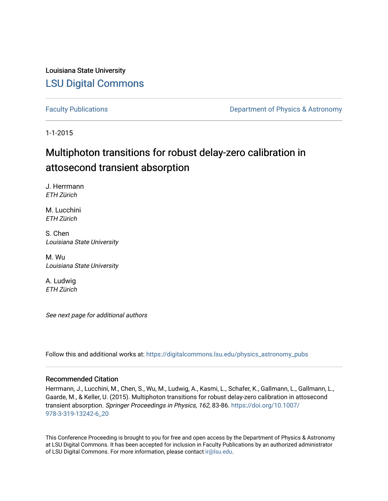Louisiana State University [LSU Digital Commons](https://digitalcommons.lsu.edu/)

[Faculty Publications](https://digitalcommons.lsu.edu/physics_astronomy_pubs) **Exercise 2 and Table 2 and Table 2 and Table 2 and Table 2 and Table 2 and Table 2 and Table 2 and Table 2 and Table 2 and Table 2 and Table 2 and Table 2 and Table 2 and Table 2 and Table 2 and Table** 

1-1-2015

# Multiphoton transitions for robust delay-zero calibration in attosecond transient absorption

J. Herrmann ETH Zürich

M. Lucchini ETH Zürich

S. Chen Louisiana State University

M. Wu Louisiana State University

A. Ludwig ETH Zürich

See next page for additional authors

Follow this and additional works at: [https://digitalcommons.lsu.edu/physics\\_astronomy\\_pubs](https://digitalcommons.lsu.edu/physics_astronomy_pubs?utm_source=digitalcommons.lsu.edu%2Fphysics_astronomy_pubs%2F2100&utm_medium=PDF&utm_campaign=PDFCoverPages) 

#### Recommended Citation

Herrmann, J., Lucchini, M., Chen, S., Wu, M., Ludwig, A., Kasmi, L., Schafer, K., Gallmann, L., Gallmann, L., Gaarde, M., & Keller, U. (2015). Multiphoton transitions for robust delay-zero calibration in attosecond transient absorption. Springer Proceedings in Physics, 162, 83-86. [https://doi.org/10.1007/](https://doi.org/10.1007/978-3-319-13242-6_20) [978-3-319-13242-6\\_20](https://doi.org/10.1007/978-3-319-13242-6_20) 

This Conference Proceeding is brought to you for free and open access by the Department of Physics & Astronomy at LSU Digital Commons. It has been accepted for inclusion in Faculty Publications by an authorized administrator of LSU Digital Commons. For more information, please contact [ir@lsu.edu](mailto:ir@lsu.edu).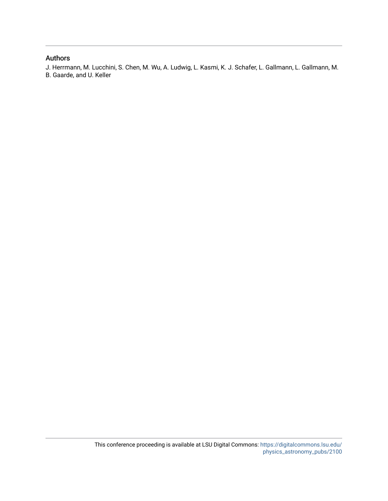### Authors

J. Herrmann, M. Lucchini, S. Chen, M. Wu, A. Ludwig, L. Kasmi, K. J. Schafer, L. Gallmann, L. Gallmann, M. B. Gaarde, and U. Keller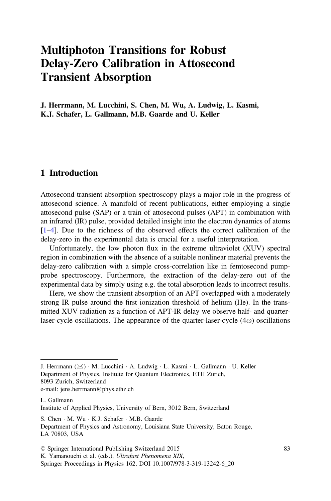# Multiphoton Transitions for Robust Delay-Zero Calibration in Attosecond Transient Absorption

J. Herrmann, M. Lucchini, S. Chen, M. Wu, A. Ludwig, L. Kasmi, K.J. Schafer, L. Gallmann, M.B. Gaarde and U. Keller

#### 1 Introduction

Attosecond transient absorption spectroscopy plays a major role in the progress of attosecond science. A manifold of recent publications, either employing a single attosecond pulse (SAP) or a train of attosecond pulses (APT) in combination with an infrared (IR) pulse, provided detailed insight into the electron dynamics of atoms [\[1](#page-5-0)–[4](#page-5-0)]. Due to the richness of the observed effects the correct calibration of the delay-zero in the experimental data is crucial for a useful interpretation.

Unfortunately, the low photon flux in the extreme ultraviolet (XUV) spectral region in combination with the absence of a suitable nonlinear material prevents the delay-zero calibration with a simple cross-correlation like in femtosecond pumpprobe spectroscopy. Furthermore, the extraction of the delay-zero out of the experimental data by simply using e.g. the total absorption leads to incorrect results.

Here, we show the transient absorption of an APT overlapped with a moderately strong IR pulse around the first ionization threshold of helium (He). In the transmitted XUV radiation as a function of APT-IR delay we observe half- and quarterlaser-cycle oscillations. The appearance of the quarter-laser-cycle  $(4\omega)$  oscillations

J. Herrmann ( $\boxtimes$ ) · M. Lucchini · A. Ludwig · L. Kasmi · L. Gallmann · U. Keller Department of Physics, Institute for Quantum Electronics, ETH Zurich,

8093 Zurich, Switzerland

e-mail: jens.herrmann@phys.ethz.ch

L. Gallmann Institute of Applied Physics, University of Bern, 3012 Bern, Switzerland

S. Chen · M. Wu · K.J. Schafer · M.B. Gaarde

Department of Physics and Astronomy, Louisiana State University, Baton Rouge, LA 70803, USA

<sup>©</sup> Springer International Publishing Switzerland 2015

K. Yamanouchi et al. (eds.), Ultrafast Phenomena XIX,

Springer Proceedings in Physics 162, DOI 10.1007/978-3-319-13242-6\_20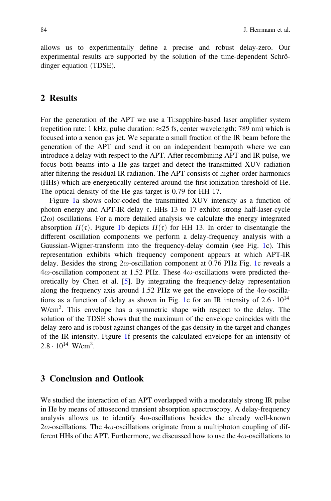allows us to experimentally define a precise and robust delay-zero. Our experimental results are supported by the solution of the time-dependent Schrödinger equation (TDSE).

#### 2 Results

For the generation of the APT we use a Ti:sapphire-based laser amplifier system (repetition rate: 1 kHz, pulse duration:  $\approx$  25 fs, center wavelength: 789 nm) which is focused into a xenon gas jet. We separate a small fraction of the IR beam before the generation of the APT and send it on an independent beampath where we can introduce a delay with respect to the APT. After recombining APT and IR pulse, we focus both beams into a He gas target and detect the transmitted XUV radiation after filtering the residual IR radiation. The APT consists of higher-order harmonics (HHs) which are energetically centered around the first ionization threshold of He. The optical density of the He gas target is 0.79 for HH 17.

Figure [1a](#page-4-0) shows color-coded the transmitted XUV intensity as a function of photon energy and APT-IR delay  $\tau$ . HHs 13 to 17 exhibit strong half-laser-cycle  $(2\omega)$  oscillations. For a more detailed analysis we calculate the energy integrated absorption  $\Pi(\tau)$ . Figure [1b](#page-4-0) depicts  $\Pi(\tau)$  for HH 13. In order to disentangle the different oscillation components we perform a delay-frequency analysis with a Gaussian-Wigner-transform into the frequency-delay domain (see Fig. [1](#page-4-0)c). This representation exhibits which frequency component appears at which APT-IR delay. Besides the strong  $2\omega$ -oscillation component at 0.76 PHz Fig. [1](#page-4-0)c reveals a  $4\omega$ -oscillation component at 1.52 PHz. These  $4\omega$ -oscillations were predicted theoretically by Chen et al. [\[5](#page-5-0)]. By integrating the frequency-delay representation along the frequency axis around 1.52 PHz we get the envelope of the  $4\omega$ -oscilla-tions as a function of delay as shown in Fig. [1e](#page-4-0) for an IR intensity of  $2.6 \cdot 10^{14}$ W/cm<sup>2</sup>. This envelope has a symmetric shape with respect to the delay. The solution of the TDSE shows that the maximum of the envelope coincides with the delay-zero and is robust against changes of the gas density in the target and changes of the IR intensity. Figure [1f](#page-4-0) presents the calculated envelope for an intensity of  $2.8 \cdot 10^{14}$  W/cm<sup>2</sup>.

#### 3 Conclusion and Outlook

We studied the interaction of an APT overlapped with a moderately strong IR pulse in He by means of attosecond transient absorption spectroscopy. A delay-frequency analysis allows us to identify  $4\omega$ -oscillations besides the already well-known  $2\omega$ -oscillations. The  $4\omega$ -oscillations originate from a multiphoton coupling of different HHs of the APT. Furthermore, we discussed how to use the  $4\omega$ -oscillations to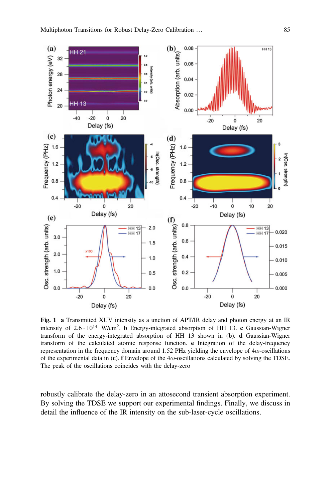<span id="page-4-0"></span>

Fig. 1 a Transmitted XUV intensity as a unction of APT/IR delay and photon energy at an IR intensity of  $2.6 \cdot 10^{14}$  W/cm<sup>2</sup>. **b** Energy-integrated absorption of HH 13. **c** Gaussian-Wigner transform of the energy-integrated absorption of HH 13 shown in (b). d Gaussian-Wigner transform of the calculated atomic response function. e Integration of the delay-frequency representation in the frequency domain around 1.52 PHz yielding the envelope of 4 $\omega$ -oscillations of the experimental data in (c). f Envelope of the  $4\omega$ -oscillations calculated by solving the TDSE. The peak of the oscillations coincides with the delay-zero

robustly calibrate the delay-zero in an attosecond transient absorption experiment. By solving the TDSE we support our experimental findings. Finally, we discuss in detail the influence of the IR intensity on the sub-laser-cycle oscillations.